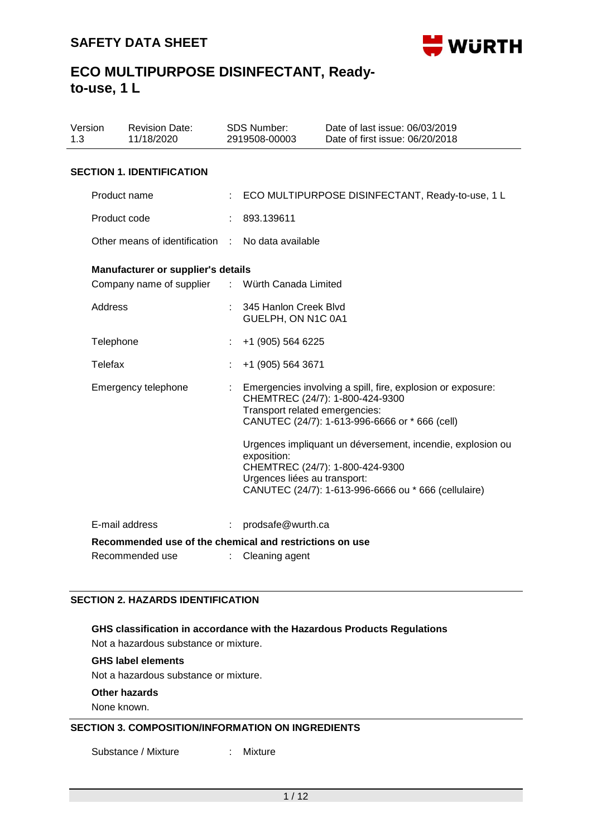

| Version<br>1.3 |                | <b>Revision Date:</b><br>11/18/2020                                        |   | SDS Number:<br>2919508-00003                  | Date of last issue: 06/03/2019<br>Date of first issue: 06/20/2018                                                                                                                                                                                 |  |  |  |
|----------------|----------------|----------------------------------------------------------------------------|---|-----------------------------------------------|---------------------------------------------------------------------------------------------------------------------------------------------------------------------------------------------------------------------------------------------------|--|--|--|
|                |                | <b>SECTION 1. IDENTIFICATION</b>                                           |   |                                               |                                                                                                                                                                                                                                                   |  |  |  |
|                | Product name   |                                                                            |   |                                               | ECO MULTIPURPOSE DISINFECTANT, Ready-to-use, 1 L                                                                                                                                                                                                  |  |  |  |
|                | Product code   |                                                                            |   | 893.139611                                    |                                                                                                                                                                                                                                                   |  |  |  |
|                |                | Other means of identification                                              |   | No data available                             |                                                                                                                                                                                                                                                   |  |  |  |
|                |                | Manufacturer or supplier's details                                         |   |                                               |                                                                                                                                                                                                                                                   |  |  |  |
|                |                | Company name of supplier                                                   |   | : Würth Canada Limited                        |                                                                                                                                                                                                                                                   |  |  |  |
|                | <b>Address</b> |                                                                            |   | 345 Hanlon Creek Blvd<br>GUELPH, ON N1C 0A1   |                                                                                                                                                                                                                                                   |  |  |  |
|                | Telephone      |                                                                            |   | +1 (905) 564 6225                             |                                                                                                                                                                                                                                                   |  |  |  |
|                | <b>Telefax</b> |                                                                            |   | +1 (905) 564 3671                             |                                                                                                                                                                                                                                                   |  |  |  |
|                |                | Emergency telephone                                                        |   | Transport related emergencies:<br>exposition: | Emergencies involving a spill, fire, explosion or exposure:<br>CHEMTREC (24/7): 1-800-424-9300<br>CANUTEC (24/7): 1-613-996-6666 or * 666 (cell)<br>Urgences impliquant un déversement, incendie, explosion ou<br>CHEMTREC (24/7): 1-800-424-9300 |  |  |  |
|                |                |                                                                            |   | Urgences liées au transport:                  | CANUTEC (24/7): 1-613-996-6666 ou * 666 (cellulaire)                                                                                                                                                                                              |  |  |  |
|                |                | E-mail address                                                             | t | prodsafe@wurth.ca                             |                                                                                                                                                                                                                                                   |  |  |  |
|                |                | Recommended use of the chemical and restrictions on use<br>Recommended use |   | Cleaning agent                                |                                                                                                                                                                                                                                                   |  |  |  |

## **SECTION 2. HAZARDS IDENTIFICATION**

# **GHS classification in accordance with the Hazardous Products Regulations**

Not a hazardous substance or mixture.

## **GHS label elements**

Not a hazardous substance or mixture.

**Other hazards**

None known.

## **SECTION 3. COMPOSITION/INFORMATION ON INGREDIENTS**

Substance / Mixture : Mixture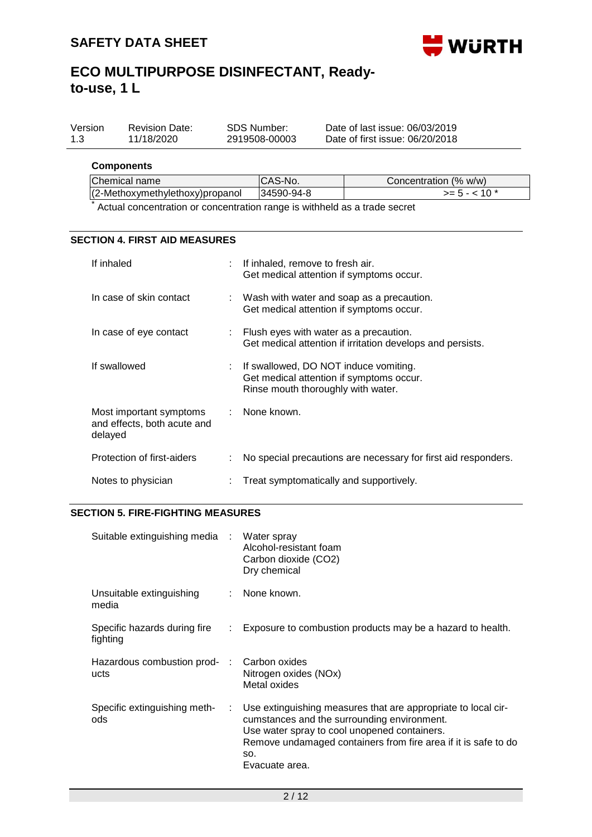

| Version | <b>Revision Date:</b> | SDS Number:   | Date of last issue: 06/03/2019  |
|---------|-----------------------|---------------|---------------------------------|
| 1.3     | 11/18/2020            | 2919508-00003 | Date of first issue: 06/20/2018 |

#### **Components**

| Chemical name                   | ICAS-No.   | Concentration (% w/w) |
|---------------------------------|------------|-----------------------|
| (2-Methoxymethylethoxy)propanol | 34590-94-8 | $>= 5 - < 10$ *       |
|                                 |            |                       |

Actual concentration or concentration range is withheld as a trade secret

### **SECTION 4. FIRST AID MEASURES**

| If inhaled                                                        | : If inhaled, remove to fresh air.<br>Get medical attention if symptoms occur.                                            |
|-------------------------------------------------------------------|---------------------------------------------------------------------------------------------------------------------------|
| In case of skin contact                                           | $\therefore$ Wash with water and soap as a precaution.<br>Get medical attention if symptoms occur.                        |
| In case of eye contact                                            | $\therefore$ Flush eyes with water as a precaution.<br>Get medical attention if irritation develops and persists.         |
| If swallowed                                                      | : If swallowed, DO NOT induce vomiting.<br>Get medical attention if symptoms occur.<br>Rinse mouth thoroughly with water. |
| Most important symptoms<br>and effects, both acute and<br>delayed | : None known.                                                                                                             |
| Protection of first-aiders                                        | No special precautions are necessary for first aid responders.                                                            |
| Notes to physician                                                | Treat symptomatically and supportively.                                                                                   |

## **SECTION 5. FIRE-FIGHTING MEASURES**

| Suitable extinguishing media : Water spray |               | Alcohol-resistant foam<br>Carbon dioxide (CO2)<br>Dry chemical                                                                                                                                                                                          |
|--------------------------------------------|---------------|---------------------------------------------------------------------------------------------------------------------------------------------------------------------------------------------------------------------------------------------------------|
| Unsuitable extinguishing<br>media          |               | : None known.                                                                                                                                                                                                                                           |
| Specific hazards during fire<br>fighting   |               | Exposure to combustion products may be a hazard to health.                                                                                                                                                                                              |
| Hazardous combustion prod-<br>ucts         | in the c      | Carbon oxides<br>Nitrogen oxides (NOx)<br>Metal oxides                                                                                                                                                                                                  |
| Specific extinguishing meth-<br>ods        | $\mathcal{L}$ | Use extinguishing measures that are appropriate to local cir-<br>cumstances and the surrounding environment.<br>Use water spray to cool unopened containers.<br>Remove undamaged containers from fire area if it is safe to do<br>SO.<br>Evacuate area. |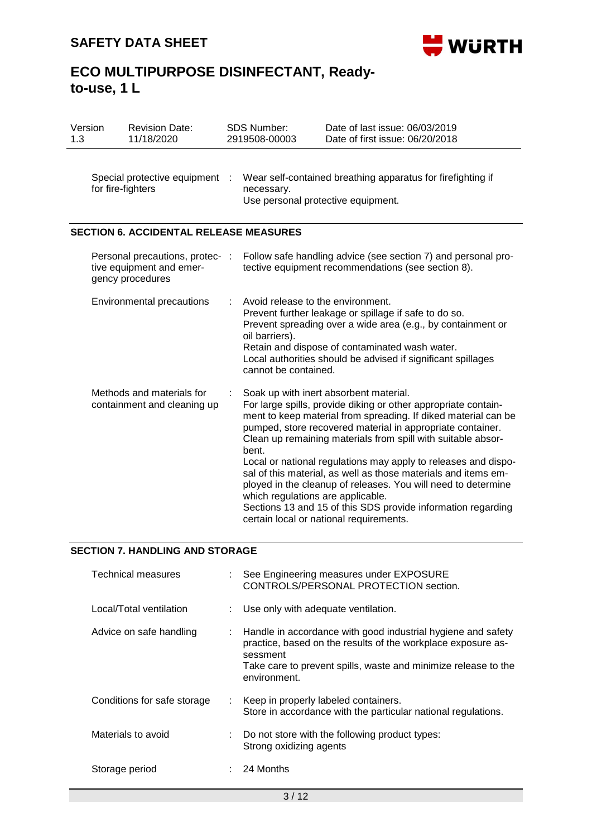

| Version<br>1.3                                                                  |                                                          | <b>Revision Date:</b><br>11/18/2020           |                                                                                                                                                                                                                                                                                                                       | <b>SDS Number:</b><br>2919508-00003                                                                             | Date of last issue: 06/03/2019<br>Date of first issue: 06/20/2018                                                                                                                                                                                                                                                                                                                                                                                                                                                                                                                                                        |
|---------------------------------------------------------------------------------|----------------------------------------------------------|-----------------------------------------------|-----------------------------------------------------------------------------------------------------------------------------------------------------------------------------------------------------------------------------------------------------------------------------------------------------------------------|-----------------------------------------------------------------------------------------------------------------|--------------------------------------------------------------------------------------------------------------------------------------------------------------------------------------------------------------------------------------------------------------------------------------------------------------------------------------------------------------------------------------------------------------------------------------------------------------------------------------------------------------------------------------------------------------------------------------------------------------------------|
|                                                                                 | for fire-fighters                                        | Special protective equipment                  |                                                                                                                                                                                                                                                                                                                       | Wear self-contained breathing apparatus for firefighting if<br>necessary.<br>Use personal protective equipment. |                                                                                                                                                                                                                                                                                                                                                                                                                                                                                                                                                                                                                          |
|                                                                                 |                                                          | <b>SECTION 6. ACCIDENTAL RELEASE MEASURES</b> |                                                                                                                                                                                                                                                                                                                       |                                                                                                                 |                                                                                                                                                                                                                                                                                                                                                                                                                                                                                                                                                                                                                          |
| Personal precautions, protec- :<br>tive equipment and emer-<br>gency procedures |                                                          |                                               | Follow safe handling advice (see section 7) and personal pro-<br>tective equipment recommendations (see section 8).                                                                                                                                                                                                   |                                                                                                                 |                                                                                                                                                                                                                                                                                                                                                                                                                                                                                                                                                                                                                          |
|                                                                                 |                                                          | Environmental precautions                     | Avoid release to the environment.<br>Prevent further leakage or spillage if safe to do so.<br>Prevent spreading over a wide area (e.g., by containment or<br>oil barriers).<br>Retain and dispose of contaminated wash water.<br>Local authorities should be advised if significant spillages<br>cannot be contained. |                                                                                                                 |                                                                                                                                                                                                                                                                                                                                                                                                                                                                                                                                                                                                                          |
|                                                                                 | Methods and materials for<br>containment and cleaning up |                                               |                                                                                                                                                                                                                                                                                                                       | bent.<br>which regulations are applicable.                                                                      | Soak up with inert absorbent material.<br>For large spills, provide diking or other appropriate contain-<br>ment to keep material from spreading. If diked material can be<br>pumped, store recovered material in appropriate container.<br>Clean up remaining materials from spill with suitable absor-<br>Local or national regulations may apply to releases and dispo-<br>sal of this material, as well as those materials and items em-<br>ployed in the cleanup of releases. You will need to determine<br>Sections 13 and 15 of this SDS provide information regarding<br>certain local or national requirements. |

## **SECTION 7. HANDLING AND STORAGE**

| Technical measures          |      | : See Engineering measures under EXPOSURE<br>CONTROLS/PERSONAL PROTECTION section.                                                                                                                                           |
|-----------------------------|------|------------------------------------------------------------------------------------------------------------------------------------------------------------------------------------------------------------------------------|
| Local/Total ventilation     |      | : Use only with adequate ventilation.                                                                                                                                                                                        |
| Advice on safe handling     |      | : Handle in accordance with good industrial hygiene and safety<br>practice, based on the results of the workplace exposure as-<br>sessment<br>Take care to prevent spills, waste and minimize release to the<br>environment. |
| Conditions for safe storage | t in | Keep in properly labeled containers.<br>Store in accordance with the particular national regulations.                                                                                                                        |
| Materials to avoid          | ÷.   | Do not store with the following product types:<br>Strong oxidizing agents                                                                                                                                                    |
| Storage period              |      | 24 Months                                                                                                                                                                                                                    |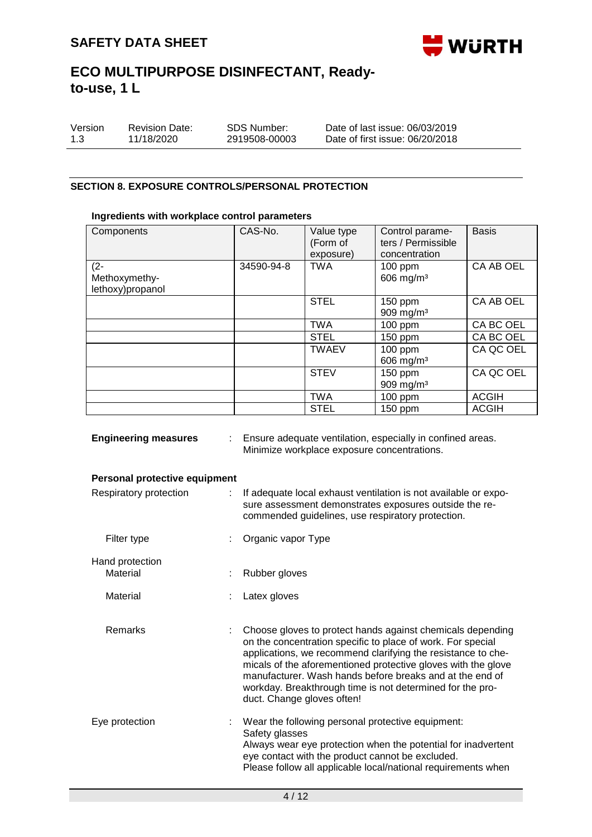

| Version | <b>Revision Date:</b> | SDS Number:   | Date of last issue: 06/03/2019  |
|---------|-----------------------|---------------|---------------------------------|
| 1.3     | 11/18/2020            | 2919508-00003 | Date of first issue: 06/20/2018 |

### **SECTION 8. EXPOSURE CONTROLS/PERSONAL PROTECTION**

### **Ingredients with workplace control parameters**

| Components                                  | CAS-No.    | Value type<br>(Form of<br>exposure) | Control parame-<br>ters / Permissible<br>concentration | <b>Basis</b> |
|---------------------------------------------|------------|-------------------------------------|--------------------------------------------------------|--------------|
| $(2 -$<br>Methoxymethy-<br>lethoxy)propanol | 34590-94-8 | <b>TWA</b>                          | $100$ ppm<br>606 mg/m <sup>3</sup>                     | CA AB OEL    |
|                                             |            | <b>STEL</b>                         | $150$ ppm<br>909 mg/m <sup>3</sup>                     | CA AB OEL    |
|                                             |            | <b>TWA</b>                          | $100$ ppm                                              | CA BC OEL    |
|                                             |            | <b>STEL</b>                         | 150 ppm                                                | CA BC OEL    |
|                                             |            | <b>TWAEV</b>                        | $100$ ppm<br>$606$ mg/m <sup>3</sup>                   | CA QC OEL    |
|                                             |            | <b>STEV</b>                         | 150 ppm<br>909 mg/m $3$                                | CA QC OEL    |
|                                             |            | <b>TWA</b>                          | $100$ ppm                                              | <b>ACGIH</b> |
|                                             |            | <b>STEL</b>                         | 150 ppm                                                | <b>ACGIH</b> |

| <b>Engineering measures</b><br>t. |  | Ensure adequate ventilation, especially in confined areas.<br>Minimize workplace exposure concentrations.                                                                                                                                                                                                                                                                                                         |  |  |  |
|-----------------------------------|--|-------------------------------------------------------------------------------------------------------------------------------------------------------------------------------------------------------------------------------------------------------------------------------------------------------------------------------------------------------------------------------------------------------------------|--|--|--|
| Personal protective equipment     |  |                                                                                                                                                                                                                                                                                                                                                                                                                   |  |  |  |
| Respiratory protection<br>÷.      |  | If adequate local exhaust ventilation is not available or expo-<br>sure assessment demonstrates exposures outside the re-<br>commended guidelines, use respiratory protection.                                                                                                                                                                                                                                    |  |  |  |
| Filter type                       |  | Organic vapor Type                                                                                                                                                                                                                                                                                                                                                                                                |  |  |  |
| Hand protection                   |  |                                                                                                                                                                                                                                                                                                                                                                                                                   |  |  |  |
| Material                          |  | Rubber gloves                                                                                                                                                                                                                                                                                                                                                                                                     |  |  |  |
| Material                          |  | Latex gloves                                                                                                                                                                                                                                                                                                                                                                                                      |  |  |  |
| Remarks                           |  | Choose gloves to protect hands against chemicals depending<br>on the concentration specific to place of work. For special<br>applications, we recommend clarifying the resistance to che-<br>micals of the aforementioned protective gloves with the glove<br>manufacturer. Wash hands before breaks and at the end of<br>workday. Breakthrough time is not determined for the pro-<br>duct. Change gloves often! |  |  |  |
| Eye protection                    |  | Wear the following personal protective equipment:<br>Safety glasses<br>Always wear eye protection when the potential for inadvertent<br>eye contact with the product cannot be excluded.<br>Please follow all applicable local/national requirements when                                                                                                                                                         |  |  |  |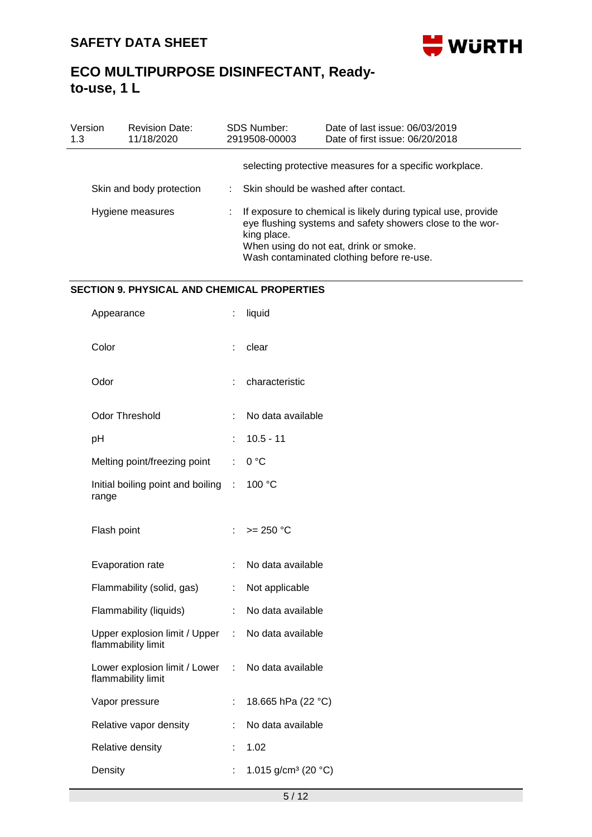

| Version<br>1.3           | <b>Revision Date:</b><br>11/18/2020 |                                        | SDS Number:<br>2919508-00003                            | Date of last issue: 06/03/2019<br>Date of first issue: 06/20/2018                                                                                                                                                 |  |  |  |
|--------------------------|-------------------------------------|----------------------------------------|---------------------------------------------------------|-------------------------------------------------------------------------------------------------------------------------------------------------------------------------------------------------------------------|--|--|--|
| Skin and body protection |                                     |                                        | selecting protective measures for a specific workplace. |                                                                                                                                                                                                                   |  |  |  |
|                          |                                     | : Skin should be washed after contact. |                                                         |                                                                                                                                                                                                                   |  |  |  |
| Hygiene measures         |                                     |                                        | king place.                                             | If exposure to chemical is likely during typical use, provide<br>eye flushing systems and safety showers close to the wor-<br>When using do not eat, drink or smoke.<br>Wash contaminated clothing before re-use. |  |  |  |

## **SECTION 9. PHYSICAL AND CHEMICAL PROPERTIES**

| t                                      | liquid                          |
|----------------------------------------|---------------------------------|
| t                                      | clear                           |
|                                        | characteristic                  |
| t                                      | No data available               |
|                                        | $10.5 - 11$                     |
| t.                                     | 0°C                             |
| Initial boiling point and boiling<br>t | 100 °C                          |
| t.                                     | $>= 250 °C$                     |
| t                                      | No data available               |
| t                                      | Not applicable                  |
| t                                      | No data available               |
| t.                                     | No data available               |
| ÷.<br>Lower explosion limit / Lower    | No data available               |
| t                                      | 18.665 hPa (22 °C)              |
|                                        | No data available               |
| t                                      | 1.02                            |
|                                        | 1.015 g/cm <sup>3</sup> (20 °C) |
|                                        |                                 |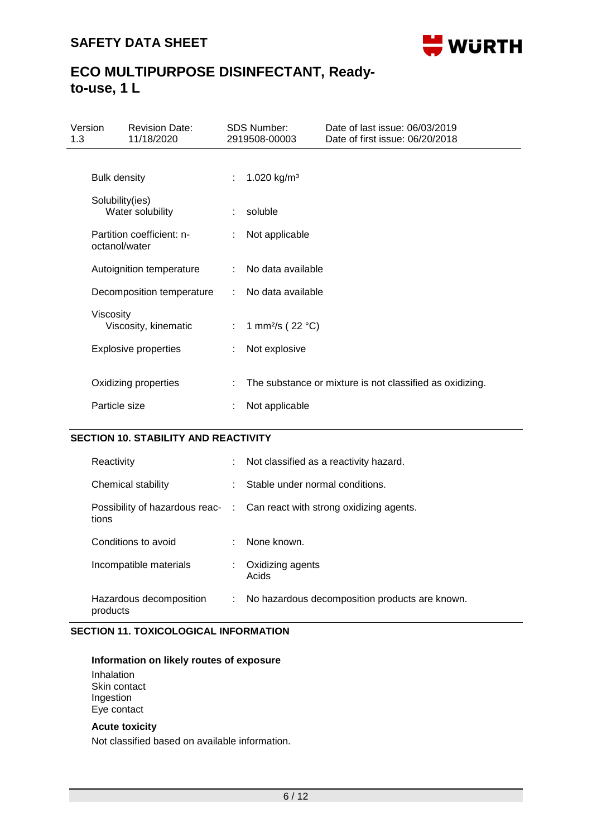

| Version<br>1.3 | <b>Revision Date:</b><br>11/18/2020        |    | <b>SDS Number:</b><br>2919508-00003 | Date of last issue: 06/03/2019<br>Date of first issue: 06/20/2018 |
|----------------|--------------------------------------------|----|-------------------------------------|-------------------------------------------------------------------|
|                | <b>Bulk density</b>                        | ÷. | 1.020 kg/m <sup>3</sup>             |                                                                   |
|                | Solubility(ies)<br>Water solubility        |    | soluble                             |                                                                   |
|                | Partition coefficient: n-<br>octanol/water |    | Not applicable                      |                                                                   |
|                | Autoignition temperature                   |    | No data available                   |                                                                   |
|                | Decomposition temperature                  |    | No data available                   |                                                                   |
| Viscosity      | Viscosity, kinematic                       | t. | 1 mm <sup>2</sup> /s ( $22 °C$ )    |                                                                   |
|                | <b>Explosive properties</b>                |    | Not explosive                       |                                                                   |
|                | Oxidizing properties                       |    |                                     | The substance or mixture is not classified as oxidizing.          |
| Particle size  |                                            |    | Not applicable                      |                                                                   |

## **SECTION 10. STABILITY AND REACTIVITY**

| Reactivity                          | t. | Not classified as a reactivity hazard.                                   |
|-------------------------------------|----|--------------------------------------------------------------------------|
| Chemical stability                  | ÷  | Stable under normal conditions.                                          |
| tions                               |    | Possibility of hazardous reac- : Can react with strong oxidizing agents. |
| Conditions to avoid                 |    | None known.                                                              |
| Incompatible materials              | ÷  | Oxidizing agents<br>Acids                                                |
| Hazardous decomposition<br>products | t. | No hazardous decomposition products are known.                           |

## **SECTION 11. TOXICOLOGICAL INFORMATION**

## **Information on likely routes of exposure**

Inhalation Skin contact Ingestion Eye contact

### **Acute toxicity**

Not classified based on available information.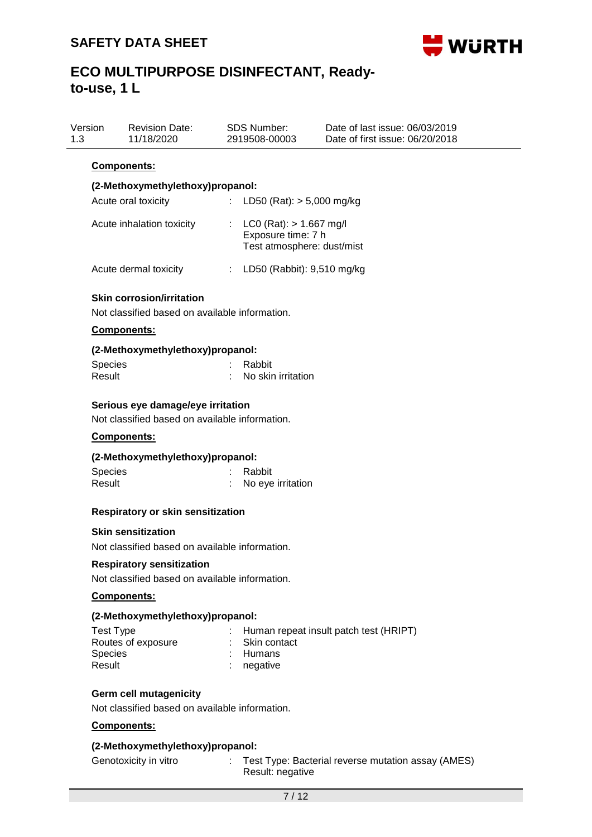

| Version<br>1.3           | <b>Revision Date:</b><br>11/18/2020                                                 | SDS Number:<br>2919508-00003                                                                                   | Date of last issue: 06/03/2019<br>Date of first issue: 06/20/2018 |
|--------------------------|-------------------------------------------------------------------------------------|----------------------------------------------------------------------------------------------------------------|-------------------------------------------------------------------|
|                          | <b>Components:</b>                                                                  |                                                                                                                |                                                                   |
|                          | (2-Methoxymethylethoxy)propanol:                                                    |                                                                                                                |                                                                   |
|                          | Acute oral toxicity                                                                 | ÷.<br>LD50 (Rat): $> 5,000$ mg/kg                                                                              |                                                                   |
|                          | Acute inhalation toxicity                                                           | $LCO$ (Rat): $> 1.667$ mg/l<br>$\mathcal{L}^{\mathcal{L}}$<br>Exposure time: 7 h<br>Test atmosphere: dust/mist |                                                                   |
|                          | Acute dermal toxicity                                                               | : LD50 (Rabbit): 9,510 mg/kg                                                                                   |                                                                   |
|                          | <b>Skin corrosion/irritation</b><br>Not classified based on available information.  |                                                                                                                |                                                                   |
|                          | Components:                                                                         |                                                                                                                |                                                                   |
|                          | (2-Methoxymethylethoxy)propanol:                                                    |                                                                                                                |                                                                   |
| <b>Species</b><br>Result |                                                                                     | Rabbit<br>No skin irritation                                                                                   |                                                                   |
|                          | Serious eye damage/eye irritation<br>Not classified based on available information. |                                                                                                                |                                                                   |
|                          | <b>Components:</b>                                                                  |                                                                                                                |                                                                   |
|                          | (2-Methoxymethylethoxy)propanol:                                                    |                                                                                                                |                                                                   |
| <b>Species</b>           |                                                                                     | Rabbit                                                                                                         |                                                                   |
| Result                   |                                                                                     | No eye irritation                                                                                              |                                                                   |
|                          |                                                                                     |                                                                                                                |                                                                   |

## **Respiratory or skin sensitization**

### **Skin sensitization**

Not classified based on available information.

#### **Respiratory sensitization**

Not classified based on available information.

## **Components:**

## **(2-Methoxymethylethoxy)propanol:**

| : Human repeat insult patch test (HRIPT) |
|------------------------------------------|
| : Skin contact                           |
| : Humans                                 |
| $:$ negative                             |
|                                          |

## **Germ cell mutagenicity**

Not classified based on available information.

## **Components:**

### **(2-Methoxymethylethoxy)propanol:**

- 
- Genotoxicity in vitro : Test Type: Bacterial reverse mutation assay (AMES) Result: negative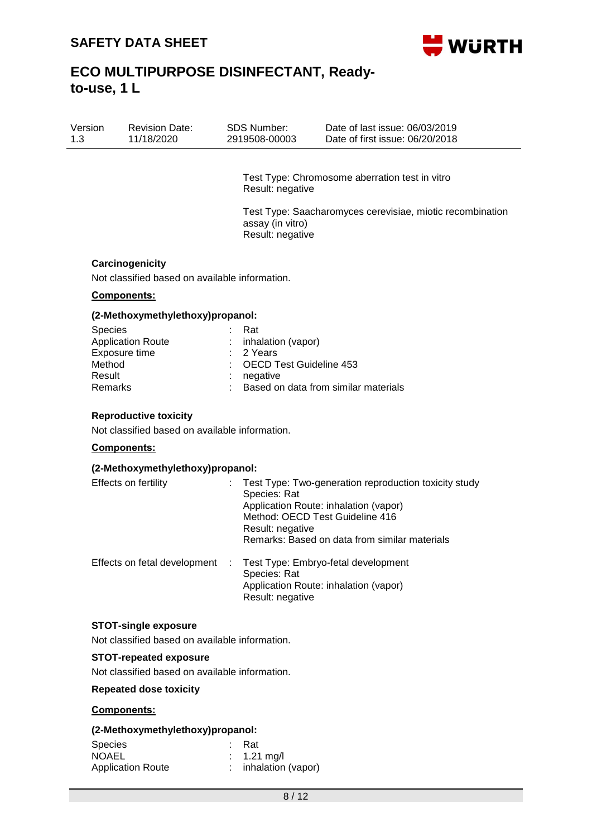

| Version | <b>Revision Date:</b> | SDS Number:   | Date of last issue: 06/03/2019  |
|---------|-----------------------|---------------|---------------------------------|
| 1.3     | 11/18/2020            | 2919508-00003 | Date of first issue: 06/20/2018 |

Test Type: Chromosome aberration test in vitro Result: negative

Test Type: Saacharomyces cerevisiae, miotic recombination assay (in vitro) Result: negative

#### **Carcinogenicity**

Not classified based on available information.

#### **Components:**

#### **(2-Methoxymethylethoxy)propanol:**

| <b>Species</b>           | : Rat                                  |
|--------------------------|----------------------------------------|
| <b>Application Route</b> | : inhalation (vapor)                   |
| Exposure time            | $: 2$ Years                            |
| Method                   | : OECD Test Guideline 453              |
| Result                   | $:$ negative                           |
| Remarks                  | : Based on data from similar materials |
|                          |                                        |

#### **Reproductive toxicity**

Not classified based on available information.

### **Components:**

#### **(2-Methoxymethylethoxy)propanol:**

| Effects on fertility         |    | Test Type: Two-generation reproduction toxicity study<br>Species: Rat<br>Application Route: inhalation (vapor)<br>Method: OECD Test Guideline 416<br>Result: negative<br>Remarks: Based on data from similar materials |
|------------------------------|----|------------------------------------------------------------------------------------------------------------------------------------------------------------------------------------------------------------------------|
| Effects on fetal development | ÷. | Test Type: Embryo-fetal development<br>Species: Rat<br>Application Route: inhalation (vapor)<br>Result: negative                                                                                                       |

#### **STOT-single exposure**

Not classified based on available information.

#### **STOT-repeated exposure**

Not classified based on available information.

**Repeated dose toxicity**

#### **Components:**

#### **(2-Methoxymethylethoxy)propanol:**

| <b>Species</b>           | - Rat                  |
|--------------------------|------------------------|
| <b>NOAEL</b>             | $\therefore$ 1.21 mg/l |
| <b>Application Route</b> | inhalation (vapor)     |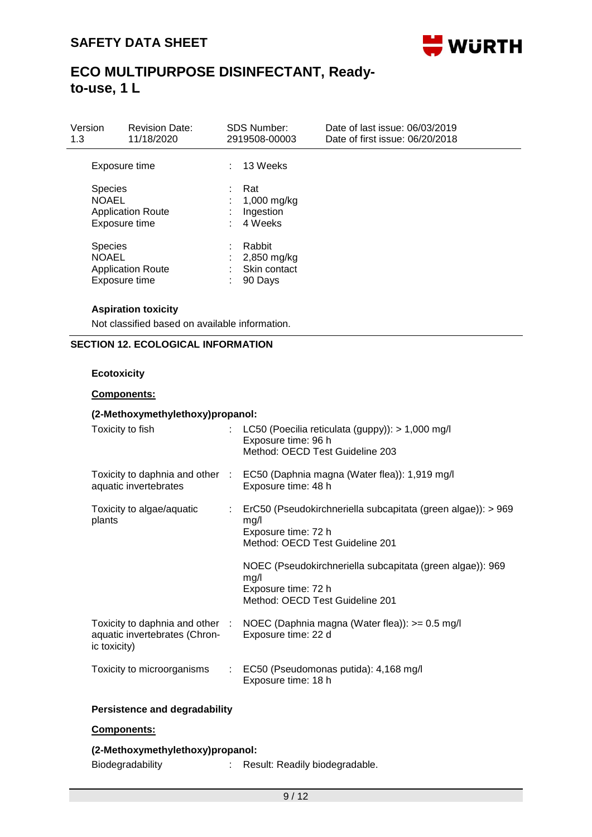

| Version<br>1.3                                                              | <b>Revision Date:</b><br>11/18/2020 |                 | <b>SDS Number:</b><br>2919508-00003              | Date of last issue: 06/03/2019<br>Date of first issue: 06/20/2018 |
|-----------------------------------------------------------------------------|-------------------------------------|-----------------|--------------------------------------------------|-------------------------------------------------------------------|
| Exposure time                                                               |                                     |                 | 13 Weeks                                         |                                                                   |
| <b>Species</b><br><b>NOAEL</b><br><b>Application Route</b><br>Exposure time |                                     | ÷               | Rat<br>1,000 mg/kg<br>Ingestion<br>4 Weeks       |                                                                   |
| <b>Species</b><br><b>NOAEL</b><br><b>Application Route</b><br>Exposure time |                                     | ٠.<br>$\bullet$ | Rabbit<br>2,850 mg/kg<br>Skin contact<br>90 Days |                                                                   |

### **Aspiration toxicity**

Not classified based on available information.

### **SECTION 12. ECOLOGICAL INFORMATION**

### **Ecotoxicity**

#### **Components:**

### **(2-Methoxymethylethoxy)propanol:** Toxicity to fish : LC50 (Poecilia reticulata (guppy)): > 1,000 mg/l Exposure time: 96 h Method: OECD Test Guideline 203 Toxicity to daphnia and other : EC50 (Daphnia magna (Water flea)): 1,919 mg/l aquatic invertebrates Exposure time: 48 h Toxicity to algae/aquatic plants : ErC50 (Pseudokirchneriella subcapitata (green algae)): > 969 mg/l Exposure time: 72 h Method: OECD Test Guideline 201 NOEC (Pseudokirchneriella subcapitata (green algae)): 969 mg/l Exposure time: 72 h Method: OECD Test Guideline 201 Toxicity to daphnia and other : aquatic invertebrates (Chronic toxicity) NOEC (Daphnia magna (Water flea)): >= 0.5 mg/l Exposure time: 22 d Toxicity to microorganisms : EC50 (Pseudomonas putida): 4,168 mg/l Exposure time: 18 h

## **Persistence and degradability**

### **Components:**

### **(2-Methoxymethylethoxy)propanol:**

Biodegradability : Result: Readily biodegradable.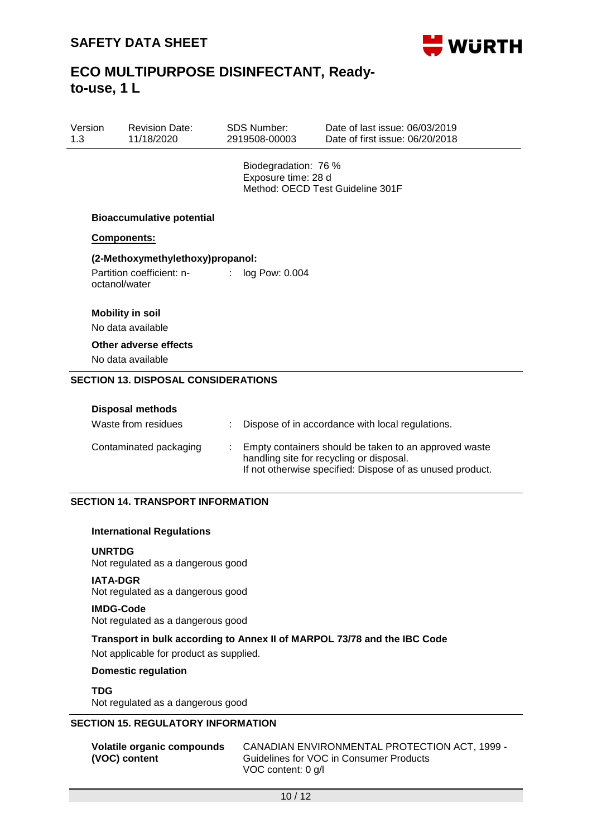

| Version | <b>Revision Date:</b> | SDS Number:   | Date of last issue: 06/03/2019  |
|---------|-----------------------|---------------|---------------------------------|
| 1.3     | 11/18/2020            | 2919508-00003 | Date of first issue: 06/20/2018 |

Biodegradation: 76 % Exposure time: 28 d Method: OECD Test Guideline 301F

#### **Bioaccumulative potential**

#### **Components:**

### **(2-Methoxymethylethoxy)propanol:**

Partition coefficient: noctanol/water : log Pow: 0.004

## **Mobility in soil**

No data available

## **Other adverse effects**

No data available

### **SECTION 13. DISPOSAL CONSIDERATIONS**

| <b>Disposal methods</b><br>Waste from residues | Dispose of in accordance with local regulations.                                                                                                               |
|------------------------------------------------|----------------------------------------------------------------------------------------------------------------------------------------------------------------|
| Contaminated packaging                         | Empty containers should be taken to an approved waste<br>handling site for recycling or disposal.<br>If not otherwise specified: Dispose of as unused product. |

### **SECTION 14. TRANSPORT INFORMATION**

#### **International Regulations**

#### **UNRTDG**

Not regulated as a dangerous good

#### **IATA-DGR**

Not regulated as a dangerous good

#### **IMDG-Code**

Not regulated as a dangerous good

### **Transport in bulk according to Annex II of MARPOL 73/78 and the IBC Code**

Not applicable for product as supplied.

### **Domestic regulation**

### **TDG**

Not regulated as a dangerous good

## **SECTION 15. REGULATORY INFORMATION**

| Volatile organic compounds | CANADIAN ENVIRONMENTAL PROTECTION ACT, 1999 - |
|----------------------------|-----------------------------------------------|
| (VOC) content              | Guidelines for VOC in Consumer Products       |
|                            | VOC content: 0 g/l                            |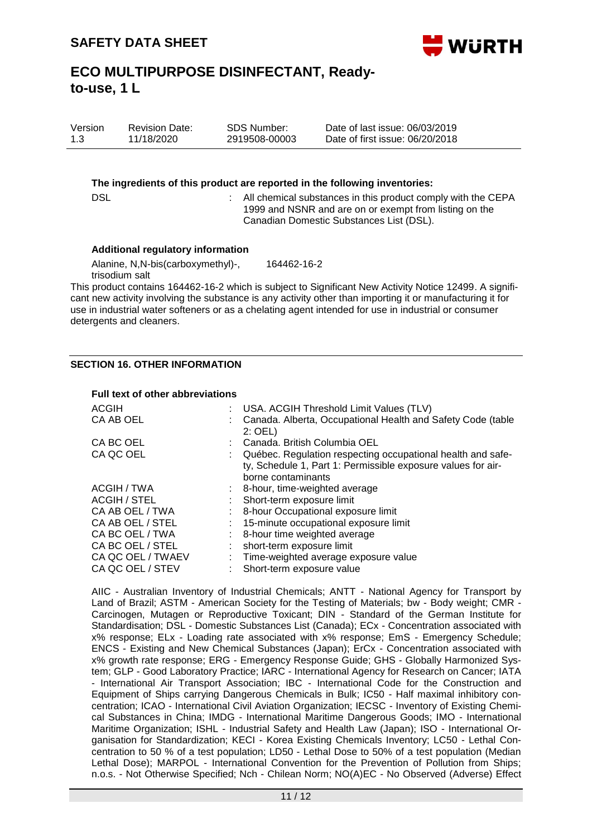

| Version | <b>Revision Date:</b> | SDS Number:   | Date of last issue: 06/03/2019  |
|---------|-----------------------|---------------|---------------------------------|
| 1.3     | 11/18/2020            | 2919508-00003 | Date of first issue: 06/20/2018 |

#### **The ingredients of this product are reported in the following inventories:**

DSL **EXAGGE :** All chemical substances in this product comply with the CEPA 1999 and NSNR and are on or exempt from listing on the Canadian Domestic Substances List (DSL).

#### **Additional regulatory information**

Alanine, N,N-bis(carboxymethyl)-, trisodium salt 164462-16-2

This product contains 164462-16-2 which is subject to Significant New Activity Notice 12499. A significant new activity involving the substance is any activity other than importing it or manufacturing it for use in industrial water softeners or as a chelating agent intended for use in industrial or consumer detergents and cleaners.

### **SECTION 16. OTHER INFORMATION**

#### **Full text of other abbreviations**

| ACGIH<br>CA AB OEL                                                                                                                                 | USA. ACGIH Threshold Limit Values (TLV)<br>Canada. Alberta, Occupational Health and Safety Code (table<br>$2:$ OEL)                                                                                                                                                                            |
|----------------------------------------------------------------------------------------------------------------------------------------------------|------------------------------------------------------------------------------------------------------------------------------------------------------------------------------------------------------------------------------------------------------------------------------------------------|
| CA BC OEL<br>CA QC OEL                                                                                                                             | : Canada, British Columbia OEL<br>Québec. Regulation respecting occupational health and safe-<br>ty, Schedule 1, Part 1: Permissible exposure values for air-<br>borne contaminants                                                                                                            |
| ACGIH / TWA<br>ACGIH / STEL<br>CA AB OEL / TWA<br>CA AB OEL / STEL<br>CA BC OEL / TWA<br>CA BC OEL / STEL<br>CA QC OEL / TWAEV<br>CA QC OEL / STEV | $\therefore$ 8-hour, time-weighted average<br>Short-term exposure limit<br>: 8-hour Occupational exposure limit<br>15-minute occupational exposure limit<br>: 8-hour time weighted average<br>short-term exposure limit<br>: Time-weighted average exposure value<br>Short-term exposure value |

AIIC - Australian Inventory of Industrial Chemicals; ANTT - National Agency for Transport by Land of Brazil; ASTM - American Society for the Testing of Materials; bw - Body weight; CMR - Carcinogen, Mutagen or Reproductive Toxicant; DIN - Standard of the German Institute for Standardisation; DSL - Domestic Substances List (Canada); ECx - Concentration associated with x% response; ELx - Loading rate associated with x% response; EmS - Emergency Schedule; ENCS - Existing and New Chemical Substances (Japan); ErCx - Concentration associated with x% growth rate response; ERG - Emergency Response Guide; GHS - Globally Harmonized System; GLP - Good Laboratory Practice; IARC - International Agency for Research on Cancer; IATA - International Air Transport Association; IBC - International Code for the Construction and Equipment of Ships carrying Dangerous Chemicals in Bulk; IC50 - Half maximal inhibitory concentration; ICAO - International Civil Aviation Organization; IECSC - Inventory of Existing Chemical Substances in China; IMDG - International Maritime Dangerous Goods; IMO - International Maritime Organization; ISHL - Industrial Safety and Health Law (Japan); ISO - International Organisation for Standardization; KECI - Korea Existing Chemicals Inventory; LC50 - Lethal Concentration to 50 % of a test population; LD50 - Lethal Dose to 50% of a test population (Median Lethal Dose); MARPOL - International Convention for the Prevention of Pollution from Ships; n.o.s. - Not Otherwise Specified; Nch - Chilean Norm; NO(A)EC - No Observed (Adverse) Effect